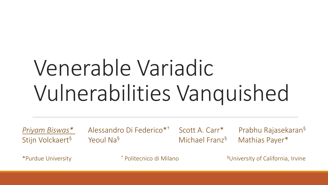# Venerable Variadic Vulnerabilities Vanquished

Stijn Volckaert<sup>§</sup> Yeoul Na<sup>§</sup> Michael Franz<sup>§</sup> Mathias Payer<sup>\*</sup>

*Priyam Biswas\** Alessandro Di Federico\*† Scott A. Carr\* Prabhu Rajasekaran§

\*Purdue University † Politecnico di Milano §University of California, Irvine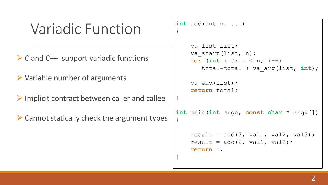#### Variadic Function

- $\triangleright$  C and C++ support variadic functions
- $\triangleright$  Variable number of arguments
- $\triangleright$  Implicit contract between caller and callee
- $\triangleright$  Cannot statically check the argument types

```
int add(int n, ...)
{
    va_list list;
    va start(list, n);
    for (int i=0; i < n; i++)
       total=total + va_arg(list, int);
    va end(list);
    return total;
}
int main(int argc, const char * argv[])
{
    result = add(3, val1, val2, val3);result = add(2, val1, val2);return 0;
}
```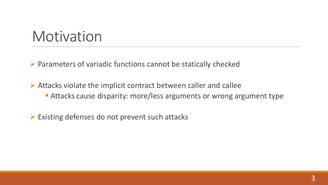#### Motivation

 $\triangleright$  Parameters of variadic functions cannot be statically checked

 $\triangleright$  Attacks violate the implicit contract between caller and callee Attacks cause disparity: more/less arguments or wrong argument type

 $\triangleright$  Existing defenses do not prevent such attacks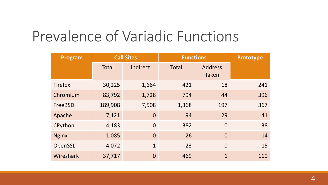### Prevalence of Variadic Functions

| Program      | <b>Call Sites</b> |                |       | <b>Functions</b>               | Prototype |  |
|--------------|-------------------|----------------|-------|--------------------------------|-----------|--|
|              | <b>Total</b>      | Indirect       | Total | <b>Address</b><br><b>Taken</b> |           |  |
| Firefox      | 30,225            | 1,664          | 421   | 18                             | 241       |  |
| Chromium     | 83,792            | 1,728          | 794   | 44                             | 396       |  |
| FreeBSD      | 189,908           | 7,508          | 1,368 | 197                            | 367       |  |
| Apache       | 7,121             | $\overline{0}$ | 94    | 29                             | 41        |  |
| CPython      | 4,183             | $\overline{0}$ | 382   | $\overline{0}$                 | 38        |  |
| <b>Nginx</b> | 1,085             | $\overline{0}$ | 26    | $\Omega$                       | 14        |  |
| OpenSSL      | 4,072             | $\mathbf{1}$   | 23    | $\Omega$                       | 15        |  |
| Wireshark    | 37,717            | $\overline{0}$ | 469   | $\mathbf{1}$                   | 110       |  |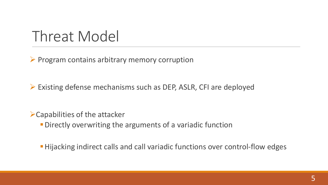#### Threat Model

 $\triangleright$  Program contains arbitrary memory corruption

Existing defense mechanisms such as DEP, ASLR, CFI are deployed

Capabilities of the attacker

**- Directly overwriting the arguments of a variadic function** 

**Hijacking indirect calls and call variadic functions over control-flow edges**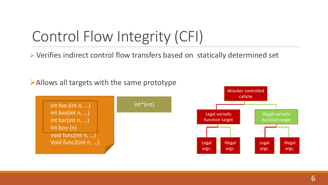## Control Flow Integrity (CFI)

Verifies indirect control flow transfers based on statically determined set

 $\blacktriangleright$  Allows all targets with the same prototype



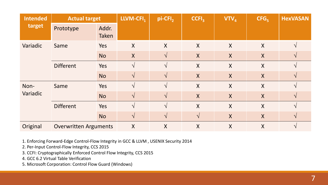| <b>Intended</b><br>target | <b>Actual target</b>         |                       | LLVM-CFI <sub>1</sub> | pi-CFI <sub>2</sub> | CCH <sub>3</sub> | $VTV_4$          | CFG <sub>5</sub> | <b>HexVASAN</b> |
|---------------------------|------------------------------|-----------------------|-----------------------|---------------------|------------------|------------------|------------------|-----------------|
|                           | Prototype                    | Addr.<br><b>Taken</b> |                       |                     |                  |                  |                  |                 |
| Variadic                  | Same                         | Yes                   | X                     | X                   | $\sf X$          | X                | X                | $\mathcal{N}$   |
|                           |                              | <b>No</b>             | X                     | $\mathcal{N}$       | $\boldsymbol{X}$ | $\sf X$          | X                | $\mathcal{N}$   |
|                           | <b>Different</b>             | Yes                   |                       |                     | $\boldsymbol{X}$ | X                | $\boldsymbol{X}$ |                 |
|                           |                              | <b>No</b>             | $\mathcal{N}$         | $\mathcal{N}$       | $\boldsymbol{X}$ | $\boldsymbol{X}$ | $\mathsf{X}$     | $\mathcal{N}$   |
| Non-<br>Variadic          | Same                         | <b>Yes</b>            |                       | $\mathcal{N}$       | $\boldsymbol{X}$ | $\mathsf{X}$     | X                | $\mathcal{N}$   |
|                           |                              | <b>No</b>             | $\sqrt{ }$            | $\mathcal{N}$       | $\boldsymbol{X}$ | $\sf X$          | $\boldsymbol{X}$ | $\mathcal{N}$   |
|                           | <b>Different</b>             | Yes                   |                       |                     | $\boldsymbol{X}$ | $\mathsf{X}$     | X                |                 |
|                           |                              | <b>No</b>             | $\mathcal{N}$         | $\mathcal{N}$       | $\sqrt{ }$       | X                | X                | $\mathcal{N}$   |
| Original                  | <b>Overwritten Arguments</b> |                       | X                     | $\sf X$             | X                | X                | X                |                 |

1. Enforcing Forward-Edge Control-Flow Integrity in GCC & LLVM , USENIX Security 2014

2. Per-Input Control-Flow Integrity, CCS 2015

3. CCFI: Cryptographically Enforced Control Flow Integrity, CCS 2015

4. GCC 6.2 Virtual Table Verification

5. Microsoft Corporation: Control Flow Guard (Windows)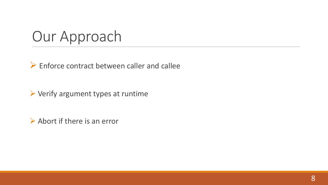### Our Approach

 $\triangleright$  Enforce contract between caller and callee

 $\triangleright$  Verify argument types at runtime

 $\triangleright$  Abort if there is an error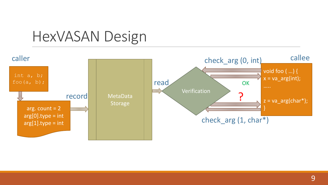#### HexVASAN Design

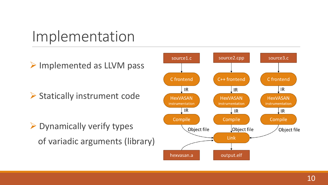### Implementation

> Implemented as LLVM pass

▶ Statically instrument code

 $\triangleright$  Dynamically verify types of variadic arguments (library)

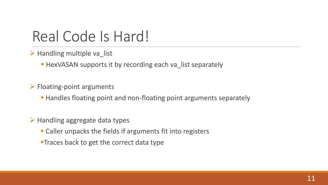#### Real Code Is Hard!

- $\triangleright$  Handling multiple va\_list
	- **HexVASAN supports it by recording each va\_list separately**
- $\triangleright$  Floating-point arguments
	- **Handles floating point and non-floating point arguments separately**
- $\triangleright$  Handling aggregate data types
	- Caller unpacks the fields if arguments fit into registers
	- **Traces back to get the correct data type**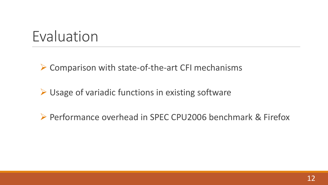#### Evaluation

▶ Comparison with state-of-the-art CFI mechanisms

 $\triangleright$  Usage of variadic functions in existing software

▶ Performance overhead in SPEC CPU2006 benchmark & Firefox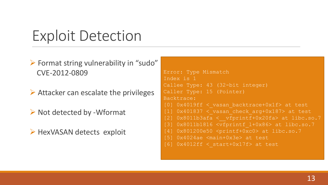#### Exploit Detection

- Format string vulnerability in "sudo" CVE-2012-0809
- $\triangleright$  Attacker can escalate the privileges
- $\triangleright$  Not detected by -Wformat
- $\triangleright$  HexVASAN detects exploit

```
Error: Type Mismatch
Index is 1
Callee Type: 43 (32-bit integer)
Caller Type: 15 (Pointer)
Backtrace:
[0] 0 \times 4019ff < vasan backtrace+0x1f> at test
[1] 0x401837 < vasan check arg+0x187> at test[2] 0x8011b3afa < vfprintf+0x20fa > at libc.so.7[3] 0x8011b1816 <vfprintf_l+0x86> at libc.so.7
[4] 0x801200e50 <printf+0xc0> at libc.so.7
[5] 0x4024ae <main+0x3e> at test
[6] 0x401\overline{2ff} < start+0x17f> at test
```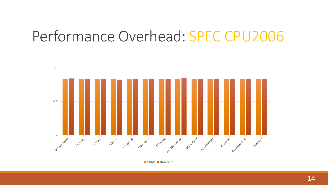#### Performance Overhead: SPEC CPU2006



Native **HexVASAN**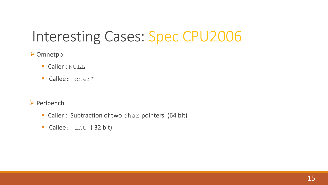### Interesting Cases: Spec CPU2006

#### **≻ Omnetpp**

- **Caller : NULL**
- **Callee:** char\*
- $\triangleright$  Perlbench
	- **Caller : Subtraction of two char pointers (64 bit)**
	- Callee: int ( 32 bit)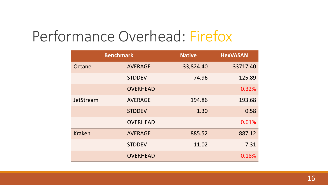#### Performance Overhead: Firefox

|               | <b>Benchmark</b> | <b>Native</b> | <b>HexVASAN</b> |
|---------------|------------------|---------------|-----------------|
| Octane        | <b>AVERAGE</b>   | 33,824.40     | 33717.40        |
|               | <b>STDDEV</b>    | 74.96         | 125.89          |
|               | <b>OVERHEAD</b>  |               | 0.32%           |
| JetStream     | <b>AVERAGE</b>   | 194.86        | 193.68          |
|               | <b>STDDEV</b>    | 1.30          | 0.58            |
|               | <b>OVERHEAD</b>  |               | 0.61%           |
| <b>Kraken</b> | <b>AVERAGE</b>   | 885.52        | 887.12          |
|               | <b>STDDEV</b>    | 11.02         | 7.31            |
|               | <b>OVERHEAD</b>  |               | 0.18%           |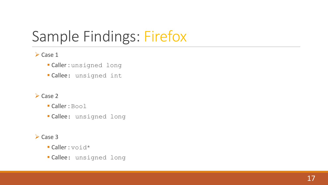## Sample Findings: Firefox

#### $\triangleright$  Case 1

- Caller : unsigned long
- Callee: unsigned int

#### $\triangleright$  Case 2

- Caller : Bool
- Callee: unsigned long

#### $\triangleright$  Case 3

- **Caller** : void\*
- Callee: unsigned long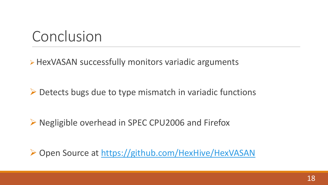#### Conclusion

▶ HexVASAN successfully monitors variadic arguments

 $\triangleright$  Detects bugs due to type mismatch in variadic functions

▶ Negligible overhead in SPEC CPU2006 and Firefox

▶ Open Source at <https://github.com/HexHive/HexVASAN>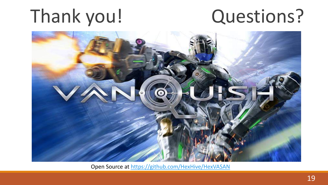## Thank you! Questions?



Open Source at <https://github.com/HexHive/HexVASAN>